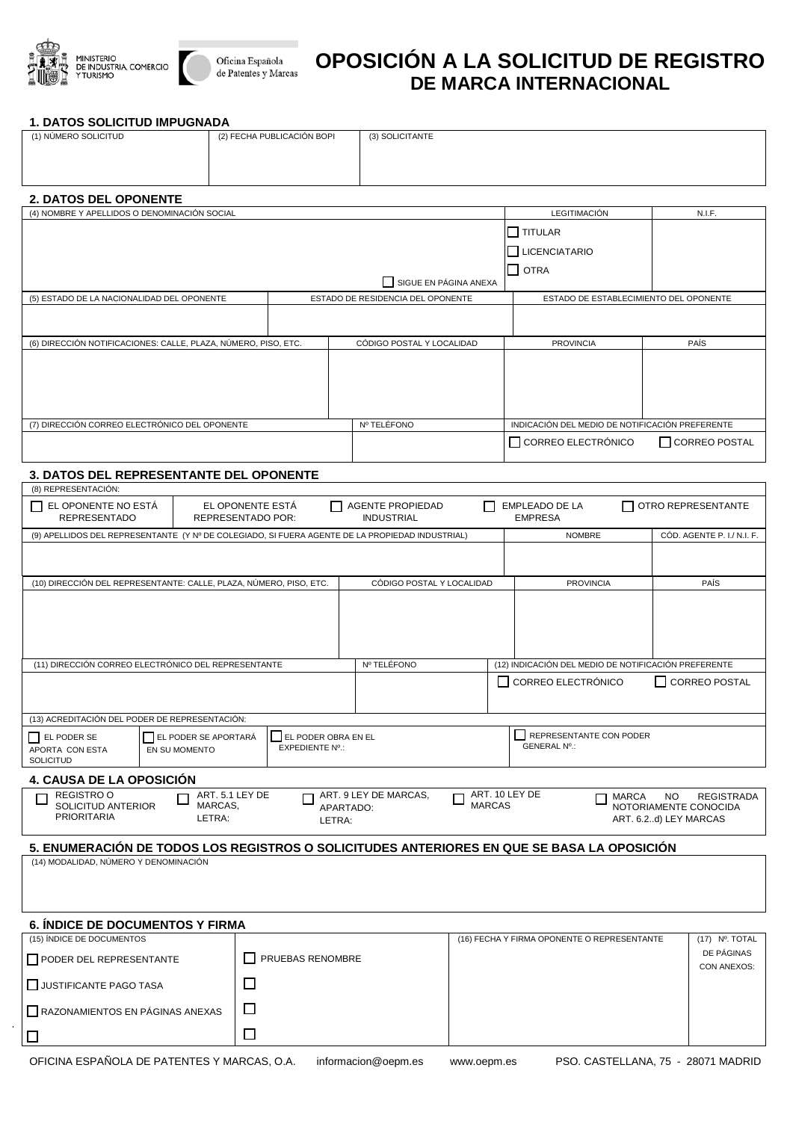



## **OPOSICIÓN A LA SOLICITUD DE REGISTRO DE MARCA INTERNACIONAL**

## **1. DATOS SOLICITUD IMPUGNADA**

| (1) NÚMERO SOLICITUD                                                                                                                                                                                         |                          |                  | (2) FECHA PUBLICACIÓN BOPI |                           | (3) SOLICITANTE                                |  |                                                                             |                                                      |        |                            |
|--------------------------------------------------------------------------------------------------------------------------------------------------------------------------------------------------------------|--------------------------|------------------|----------------------------|---------------------------|------------------------------------------------|--|-----------------------------------------------------------------------------|------------------------------------------------------|--------|----------------------------|
|                                                                                                                                                                                                              |                          |                  |                            |                           |                                                |  |                                                                             |                                                      |        |                            |
|                                                                                                                                                                                                              |                          |                  |                            |                           |                                                |  |                                                                             |                                                      |        |                            |
|                                                                                                                                                                                                              |                          |                  |                            |                           |                                                |  |                                                                             |                                                      |        |                            |
| 2. DATOS DEL OPONENTE<br>(4) NOMBRE Y APELLIDOS O DENOMINACIÓN SOCIAL<br><b>LEGITIMACIÓN</b>                                                                                                                 |                          |                  |                            |                           |                                                |  |                                                                             |                                                      | N.I.F. |                            |
|                                                                                                                                                                                                              |                          |                  |                            |                           |                                                |  |                                                                             | TITULAR                                              |        |                            |
|                                                                                                                                                                                                              |                          |                  |                            |                           |                                                |  |                                                                             | <b>LICENCIATARIO</b>                                 |        |                            |
|                                                                                                                                                                                                              |                          |                  |                            |                           |                                                |  |                                                                             |                                                      |        |                            |
| $\Box$ OTRA<br>SIGUE EN PÁGINA ANEXA                                                                                                                                                                         |                          |                  |                            |                           |                                                |  |                                                                             |                                                      |        |                            |
| (5) ESTADO DE LA NACIONALIDAD DEL OPONENTE<br>ESTADO DE RESIDENCIA DEL OPONENTE<br>ESTADO DE ESTABLECIMIENTO DEL OPONENTE                                                                                    |                          |                  |                            |                           |                                                |  |                                                                             |                                                      |        |                            |
|                                                                                                                                                                                                              |                          |                  |                            |                           |                                                |  |                                                                             |                                                      |        |                            |
| (6) DIRECCIÓN NOTIFICACIONES: CALLE, PLAZA, NÚMERO, PISO, ETC.                                                                                                                                               |                          |                  |                            |                           |                                                |  |                                                                             | <b>PROVINCIA</b>                                     |        | <b>PAÍS</b>                |
|                                                                                                                                                                                                              |                          |                  |                            | CÓDIGO POSTAL Y LOCALIDAD |                                                |  |                                                                             |                                                      |        |                            |
|                                                                                                                                                                                                              |                          |                  |                            |                           |                                                |  |                                                                             |                                                      |        |                            |
|                                                                                                                                                                                                              |                          |                  |                            |                           |                                                |  |                                                                             |                                                      |        |                            |
|                                                                                                                                                                                                              |                          |                  |                            |                           |                                                |  |                                                                             |                                                      |        |                            |
| (7) DIRECCIÓN CORREO ELECTRÓNICO DEL OPONENTE                                                                                                                                                                |                          |                  |                            |                           | Nº TELÉFONO                                    |  |                                                                             | INDICACIÓN DEL MEDIO DE NOTIFICACIÓN PREFERENTE      |        |                            |
|                                                                                                                                                                                                              |                          |                  |                            |                           |                                                |  |                                                                             | CORREO ELECTRÓNICO<br>□ CORREO POSTAL                |        |                            |
|                                                                                                                                                                                                              |                          |                  |                            |                           |                                                |  |                                                                             |                                                      |        |                            |
| 3. DATOS DEL REPRESENTANTE DEL OPONENTE                                                                                                                                                                      |                          |                  |                            |                           |                                                |  |                                                                             |                                                      |        |                            |
| (8) REPRESENTACIÓN:                                                                                                                                                                                          |                          |                  |                            |                           |                                                |  |                                                                             |                                                      |        |                            |
| EL OPONENTE NO ESTÁ<br><b>REPRESENTADO</b>                                                                                                                                                                   | <b>REPRESENTADO POR:</b> | EL OPONENTE ESTA |                            |                           | <b>AGENTE PROPIEDAD</b><br><b>INDUSTRIAL</b>   |  |                                                                             | <b>EMPLEADO DE LA</b><br><b>EMPRESA</b>              |        | OTRO REPRESENTANTE         |
| (9) APELLIDOS DEL REPRESENTANTE (Y Nº DE COLEGIADO, SI FUERA AGENTE DE LA PROPIEDAD INDUSTRIAL)                                                                                                              |                          |                  |                            |                           |                                                |  |                                                                             | <b>NOMBRE</b>                                        |        | CÓD. AGENTE P. I./ N.I. F. |
|                                                                                                                                                                                                              |                          |                  |                            |                           |                                                |  |                                                                             |                                                      |        |                            |
|                                                                                                                                                                                                              |                          |                  |                            |                           |                                                |  |                                                                             |                                                      |        |                            |
| (10) DIRECCIÓN DEL REPRESENTANTE: CALLE, PLAZA, NÚMERO, PISO, ETC.                                                                                                                                           |                          |                  |                            |                           | CÓDIGO POSTAL Y LOCALIDAD                      |  |                                                                             | <b>PROVINCIA</b>                                     |        | PAÍS                       |
|                                                                                                                                                                                                              |                          |                  |                            |                           |                                                |  |                                                                             |                                                      |        |                            |
|                                                                                                                                                                                                              |                          |                  |                            |                           |                                                |  |                                                                             |                                                      |        |                            |
|                                                                                                                                                                                                              |                          |                  |                            |                           |                                                |  |                                                                             |                                                      |        |                            |
|                                                                                                                                                                                                              |                          |                  |                            |                           | Nº TELÉFONO                                    |  |                                                                             | (12) INDICACIÓN DEL MEDIO DE NOTIFICACIÓN PREFERENTE |        |                            |
| (11) DIRECCIÓN CORREO ELECTRÓNICO DEL REPRESENTANTE                                                                                                                                                          |                          |                  |                            |                           | □ CORREO ELECTRÓNICO<br><b>□ CORREO POSTAL</b> |  |                                                                             |                                                      |        |                            |
|                                                                                                                                                                                                              |                          |                  |                            |                           |                                                |  |                                                                             |                                                      |        |                            |
| (13) ACREDITACIÓN DEL PODER DE REPRESENTACIÓN:                                                                                                                                                               |                          |                  |                            |                           |                                                |  |                                                                             |                                                      |        |                            |
| EL PODER SE APORTARÁ<br>EL PODER OBRA EN EL<br>EL PODER SE                                                                                                                                                   |                          |                  |                            | REPRESENTANTE CON PODER   |                                                |  |                                                                             |                                                      |        |                            |
| EXPEDIENTE Nº.:<br>APORTA CON ESTA<br>EN SU MOMENTO                                                                                                                                                          |                          |                  |                            | <b>GENERAL Nº.:</b>       |                                                |  |                                                                             |                                                      |        |                            |
| SOLICITUD                                                                                                                                                                                                    |                          |                  |                            |                           |                                                |  |                                                                             |                                                      |        |                            |
| 4. CAUSA DE LA OPOSICIÓN                                                                                                                                                                                     |                          |                  |                            |                           |                                                |  |                                                                             |                                                      |        |                            |
| <b>REGISTRO O</b><br>ART. 5.1 LEY DE<br>ART. 9 LEY DE MARCAS,<br>ART. 10 LEY DE<br>MARCA<br>NO.<br><b>REGISTRADA</b><br><b>MARCAS</b><br>SOLICITUD ANTERIOR<br>MARCAS,<br>NOTORIAMENTE CONOCIDA<br>APARTADO: |                          |                  |                            |                           |                                                |  |                                                                             |                                                      |        |                            |
| <b>PRIORITARIA</b><br>LETRA:<br>ART. 6.2d) LEY MARCAS<br>LETRA:                                                                                                                                              |                          |                  |                            |                           |                                                |  |                                                                             |                                                      |        |                            |
|                                                                                                                                                                                                              |                          |                  |                            |                           |                                                |  |                                                                             |                                                      |        |                            |
| 5. ENUMERACIÓN DE TODOS LOS REGISTROS O SOLICITUDES ANTERIORES EN QUE SE BASA LA OPOSICIÓN<br>(14) MODALIDAD, NÚMERO Y DENOMINACIÓN                                                                          |                          |                  |                            |                           |                                                |  |                                                                             |                                                      |        |                            |
|                                                                                                                                                                                                              |                          |                  |                            |                           |                                                |  |                                                                             |                                                      |        |                            |
|                                                                                                                                                                                                              |                          |                  |                            |                           |                                                |  |                                                                             |                                                      |        |                            |
|                                                                                                                                                                                                              |                          |                  |                            |                           |                                                |  |                                                                             |                                                      |        |                            |
| <b>6. ÍNDICE DE DOCUMENTOS Y FIRMA</b>                                                                                                                                                                       |                          |                  |                            |                           |                                                |  |                                                                             |                                                      |        |                            |
| (15) ÍNDICE DE DOCUMENTOS                                                                                                                                                                                    |                          |                  |                            |                           |                                                |  | (17) Nº. TOTAL<br>(16) FECHA Y FIRMA OPONENTE O REPRESENTANTE<br>DE PÁGINAS |                                                      |        |                            |
| PODER DEL REPRESENTANTE                                                                                                                                                                                      |                          |                  | PRUEBAS RENOMBRE           |                           |                                                |  | CON ANEXOS:                                                                 |                                                      |        |                            |
| JUSTIFICANTE PAGO TASA                                                                                                                                                                                       |                          | $\Box$           |                            |                           |                                                |  |                                                                             |                                                      |        |                            |
|                                                                                                                                                                                                              |                          |                  |                            |                           |                                                |  |                                                                             |                                                      |        |                            |
| RAZONAMIENTOS EN PÁGINAS ANEXAS                                                                                                                                                                              |                          |                  | □                          |                           |                                                |  |                                                                             |                                                      |        |                            |
| $\Box$                                                                                                                                                                                                       |                          |                  | □                          |                           |                                                |  |                                                                             |                                                      |        |                            |